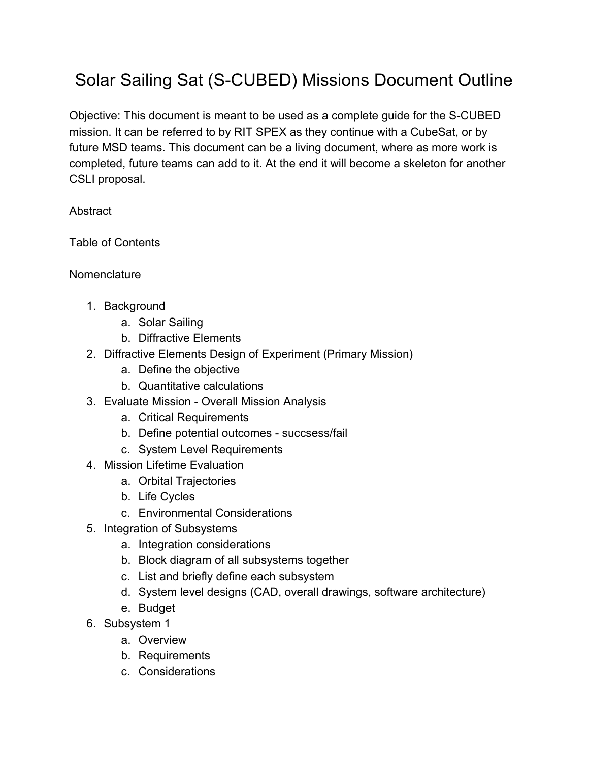## Solar Sailing Sat (S-CUBED) Missions Document Outline

Objective: This document is meant to be used as a complete guide for the S-CUBED mission. It can be referred to by RIT SPEX as they continue with a CubeSat, or by future MSD teams. This document can be a living document, where as more work is completed, future teams can add to it. At the end it will become a skeleton for another CSLI proposal.

**Abstract** 

Table of Contents

**Nomenclature** 

- 1. Background
	- a. Solar Sailing
	- b. Diffractive Elements
- 2. Diffractive Elements Design of Experiment (Primary Mission)
	- a. Define the objective
	- b. Quantitative calculations
- 3. Evaluate Mission Overall Mission Analysis
	- a. Critical Requirements
	- b. Define potential outcomes succsess/fail
	- c. System Level Requirements
- 4. Mission Lifetime Evaluation
	- a. Orbital Trajectories
	- b. Life Cycles
	- c. Environmental Considerations
- 5. Integration of Subsystems
	- a. Integration considerations
	- b. Block diagram of all subsystems together
	- c. List and briefly define each subsystem
	- d. System level designs (CAD, overall drawings, software architecture)
	- e. Budget
- 6. Subsystem 1
	- a. Overview
	- b. Requirements
	- c. Considerations